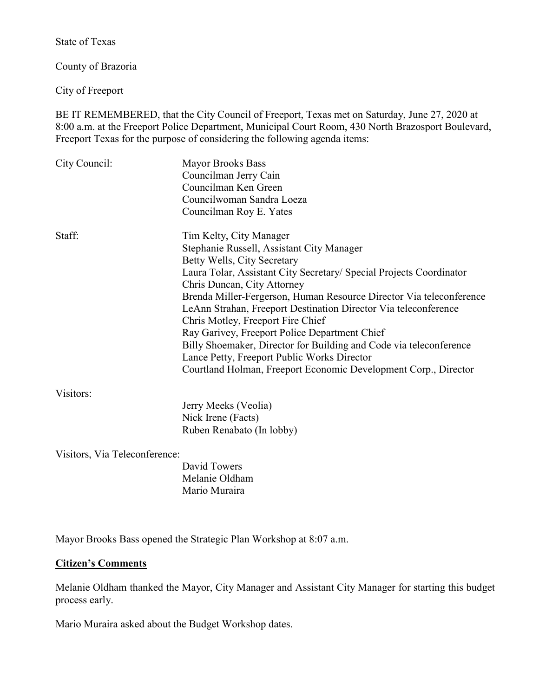State of Texas

County of Brazoria

City of Freeport

BE IT REMEMBERED, that the City Council of Freeport, Texas met on Saturday, June 27, 2020 at 8:00 a.m. at the Freeport Police Department, Municipal Court Room, 430 North Brazosport Boulevard, Freeport Texas for the purpose of considering the following agenda items:

| City Council:                 | <b>Mayor Brooks Bass</b>                                            |
|-------------------------------|---------------------------------------------------------------------|
|                               | Councilman Jerry Cain                                               |
|                               | Councilman Ken Green                                                |
|                               | Councilwoman Sandra Loeza                                           |
|                               | Councilman Roy E. Yates                                             |
| Staff:                        | Tim Kelty, City Manager                                             |
|                               | Stephanie Russell, Assistant City Manager                           |
|                               | Betty Wells, City Secretary                                         |
|                               | Laura Tolar, Assistant City Secretary/ Special Projects Coordinator |
|                               | Chris Duncan, City Attorney                                         |
|                               | Brenda Miller-Fergerson, Human Resource Director Via teleconference |
|                               | LeAnn Strahan, Freeport Destination Director Via teleconference     |
|                               | Chris Motley, Freeport Fire Chief                                   |
|                               | Ray Garivey, Freeport Police Department Chief                       |
|                               | Billy Shoemaker, Director for Building and Code via teleconference  |
|                               | Lance Petty, Freeport Public Works Director                         |
|                               | Courtland Holman, Freeport Economic Development Corp., Director     |
| Visitors:                     |                                                                     |
|                               | Jerry Meeks (Veolia)                                                |
|                               | Nick Irene (Facts)                                                  |
|                               | Ruben Renabato (In lobby)                                           |
| Visitors, Via Teleconference: |                                                                     |
|                               | David Towers                                                        |
|                               | Melanie Oldham                                                      |

Melanie Oldham Mario Muraira

Mayor Brooks Bass opened the Strategic Plan Workshop at 8:07 a.m.

## **Citizen's Comments**

Melanie Oldham thanked the Mayor, City Manager and Assistant City Manager for starting this budget process early.

Mario Muraira asked about the Budget Workshop dates.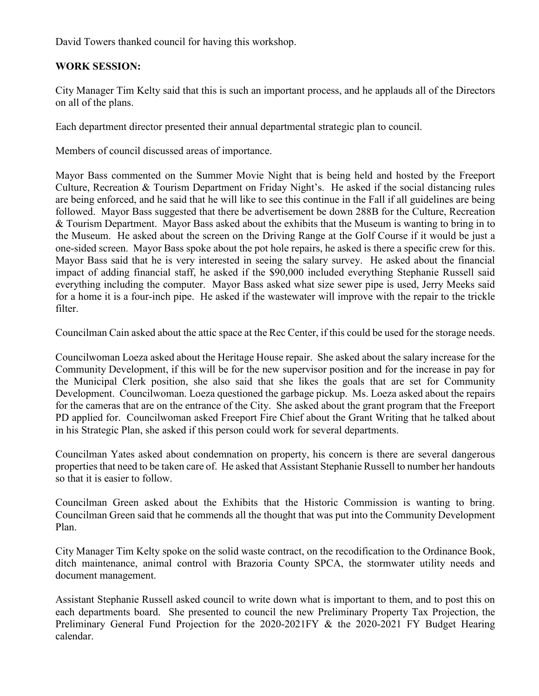David Towers thanked council for having this workshop.

## **WORK SESSION:**

City Manager Tim Kelty said that this is such an important process, and he applauds all of the Directors on all of the plans.

Each department director presented their annual departmental strategic plan to council.

Members of council discussed areas of importance.

Mayor Bass commented on the Summer Movie Night that is being held and hosted by the Freeport Culture, Recreation & Tourism Department on Friday Night's. He asked if the social distancing rules are being enforced, and he said that he will like to see this continue in the Fall if all guidelines are being followed. Mayor Bass suggested that there be advertisement be down 288B for the Culture, Recreation & Tourism Department. Mayor Bass asked about the exhibits that the Museum is wanting to bring in to the Museum. He asked about the screen on the Driving Range at the Golf Course if it would be just a one-sided screen. Mayor Bass spoke about the pot hole repairs, he asked is there a specific crew for this. Mayor Bass said that he is very interested in seeing the salary survey. He asked about the financial impact of adding financial staff, he asked if the \$90,000 included everything Stephanie Russell said everything including the computer. Mayor Bass asked what size sewer pipe is used, Jerry Meeks said for a home it is a four-inch pipe. He asked if the wastewater will improve with the repair to the trickle filter.

Councilman Cain asked about the attic space at the Rec Center, if this could be used for the storage needs.

Councilwoman Loeza asked about the Heritage House repair. She asked about the salary increase for the Community Development, if this will be for the new supervisor position and for the increase in pay for the Municipal Clerk position, she also said that she likes the goals that are set for Community Development. Councilwoman. Loeza questioned the garbage pickup. Ms. Loeza asked about the repairs for the cameras that are on the entrance of the City. She asked about the grant program that the Freeport PD applied for. Councilwoman asked Freeport Fire Chief about the Grant Writing that he talked about in his Strategic Plan, she asked if this person could work for several departments.

Councilman Yates asked about condemnation on property, his concern is there are several dangerous properties that need to be taken care of. He asked that Assistant Stephanie Russell to number her handouts so that it is easier to follow.

Councilman Green asked about the Exhibits that the Historic Commission is wanting to bring. Councilman Green said that he commends all the thought that was put into the Community Development Plan.

City Manager Tim Kelty spoke on the solid waste contract, on the recodification to the Ordinance Book, ditch maintenance, animal control with Brazoria County SPCA, the stormwater utility needs and document management.

Assistant Stephanie Russell asked council to write down what is important to them, and to post this on each departments board. She presented to council the new Preliminary Property Tax Projection, the Preliminary General Fund Projection for the 2020-2021FY & the 2020-2021 FY Budget Hearing calendar.